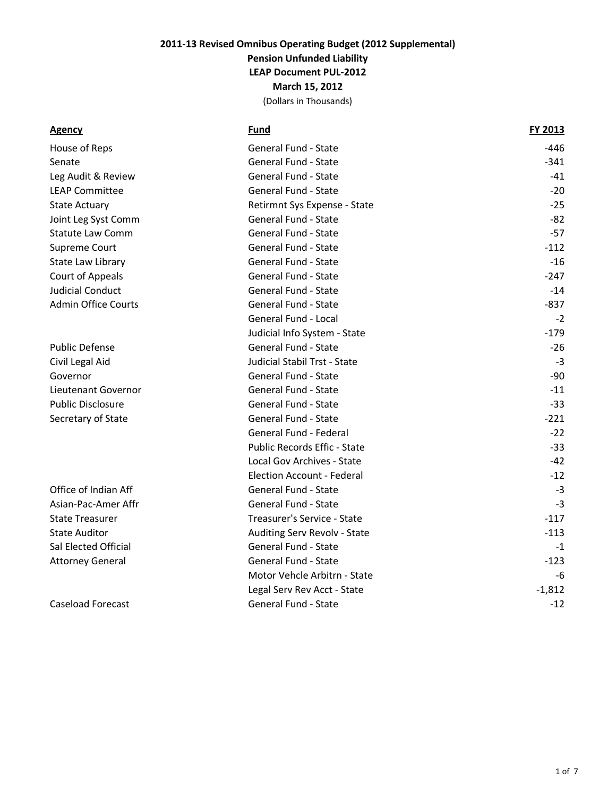(Dollars in Thousands)

|--|

**Agency Fund FY 2013**

| House of Reps              | General Fund - State              | -446     |
|----------------------------|-----------------------------------|----------|
| Senate                     | General Fund - State              | $-341$   |
| Leg Audit & Review         | General Fund - State              | $-41$    |
| <b>LEAP Committee</b>      | General Fund - State              | $-20$    |
| <b>State Actuary</b>       | Retirmnt Sys Expense - State      | $-25$    |
| Joint Leg Syst Comm        | General Fund - State              | $-82$    |
| <b>Statute Law Comm</b>    | General Fund - State              | $-57$    |
| Supreme Court              | General Fund - State              | $-112$   |
| State Law Library          | General Fund - State              | $-16$    |
| Court of Appeals           | General Fund - State              | $-247$   |
| <b>Judicial Conduct</b>    | General Fund - State              | $-14$    |
| <b>Admin Office Courts</b> | General Fund - State              | $-837$   |
|                            | General Fund - Local              | $-2$     |
|                            | Judicial Info System - State      | $-179$   |
| <b>Public Defense</b>      | General Fund - State              | $-26$    |
| Civil Legal Aid            | Judicial Stabil Trst - State      | $-3$     |
| Governor                   | General Fund - State              | -90      |
| Lieutenant Governor        | General Fund - State              | $-11$    |
| <b>Public Disclosure</b>   | General Fund - State              | $-33$    |
| Secretary of State         | General Fund - State              | $-221$   |
|                            | General Fund - Federal            | $-22$    |
|                            | Public Records Effic - State      | $-33$    |
|                            | Local Gov Archives - State        | $-42$    |
|                            | <b>Election Account - Federal</b> | $-12$    |
| Office of Indian Aff       | General Fund - State              | $-3$     |
| Asian-Pac-Amer Affr        | General Fund - State              | $-3$     |
| <b>State Treasurer</b>     | Treasurer's Service - State       | $-117$   |
| <b>State Auditor</b>       | Auditing Serv Revolv - State      | $-113$   |
| Sal Elected Official       | General Fund - State              | $-1$     |
| <b>Attorney General</b>    | General Fund - State              | $-123$   |
|                            | Motor Vehcle Arbitrn - State      | -6       |
|                            | Legal Serv Rev Acct - State       | $-1,812$ |
| <b>Caseload Forecast</b>   | <b>General Fund - State</b>       | $-12$    |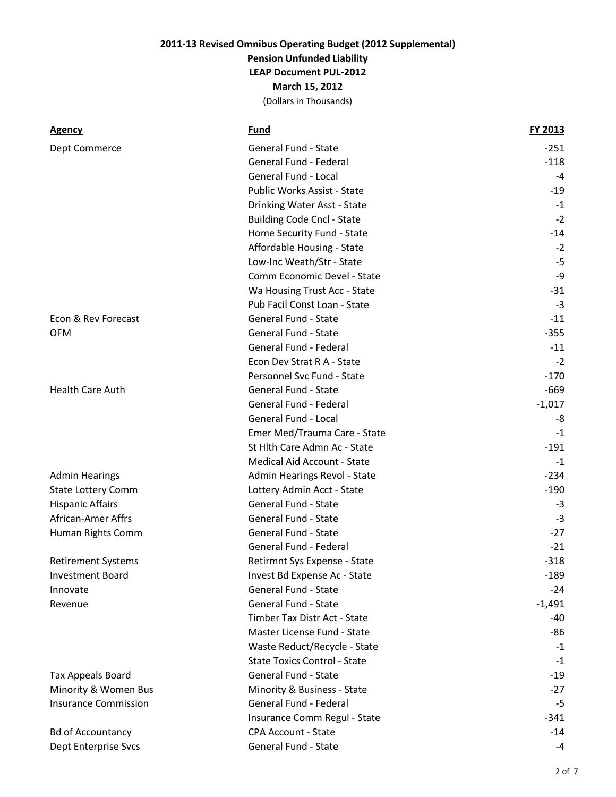| Agency                      | Fund                                | FY 2013  |
|-----------------------------|-------------------------------------|----------|
| Dept Commerce               | General Fund - State                | $-251$   |
|                             | General Fund - Federal              | $-118$   |
|                             | <b>General Fund - Local</b>         | $-4$     |
|                             | Public Works Assist - State         | $-19$    |
|                             | Drinking Water Asst - State         | $-1$     |
|                             | <b>Building Code Cncl - State</b>   | $-2$     |
|                             | Home Security Fund - State          | $-14$    |
|                             | Affordable Housing - State          | $-2$     |
|                             | Low-Inc Weath/Str - State           | $-5$     |
|                             | Comm Economic Devel - State         | $-9$     |
|                             | Wa Housing Trust Acc - State        | $-31$    |
|                             | Pub Facil Const Loan - State        | $-3$     |
| Econ & Rev Forecast         | General Fund - State                | $-11$    |
| <b>OFM</b>                  | General Fund - State                | $-355$   |
|                             | General Fund - Federal              | $-11$    |
|                             | Econ Dev Strat R A - State          | $-2$     |
|                             | Personnel Svc Fund - State          | $-170$   |
| Health Care Auth            | General Fund - State                | $-669$   |
|                             | General Fund - Federal              | $-1,017$ |
|                             | General Fund - Local                | -8       |
|                             | Emer Med/Trauma Care - State        | $-1$     |
|                             | St Hlth Care Admn Ac - State        | $-191$   |
|                             | Medical Aid Account - State         | $-1$     |
| <b>Admin Hearings</b>       | Admin Hearings Revol - State        | $-234$   |
| <b>State Lottery Comm</b>   | Lottery Admin Acct - State          | $-190$   |
| <b>Hispanic Affairs</b>     | General Fund - State                | -3       |
| African-Amer Affrs          | General Fund - State                | $-3$     |
| Human Rights Comm           | General Fund - State                | $-27$    |
|                             | General Fund - Federal              | $-21$    |
| <b>Retirement Systems</b>   | Retirmnt Sys Expense - State        | $-318$   |
| <b>Investment Board</b>     | Invest Bd Expense Ac - State        | $-189$   |
| Innovate                    | General Fund - State                | $-24$    |
| Revenue                     | General Fund - State                | $-1,491$ |
|                             | Timber Tax Distr Act - State        | $-40$    |
|                             | Master License Fund - State         | $-86$    |
|                             | Waste Reduct/Recycle - State        | $-1$     |
|                             | <b>State Toxics Control - State</b> | $-1$     |
| <b>Tax Appeals Board</b>    | General Fund - State                | $-19$    |
| Minority & Women Bus        | Minority & Business - State         | $-27$    |
| <b>Insurance Commission</b> | General Fund - Federal              | $-5$     |
|                             | Insurance Comm Regul - State        | $-341$   |
| <b>Bd of Accountancy</b>    | <b>CPA Account - State</b>          | $-14$    |
| Dept Enterprise Svcs        | General Fund - State                | $-4$     |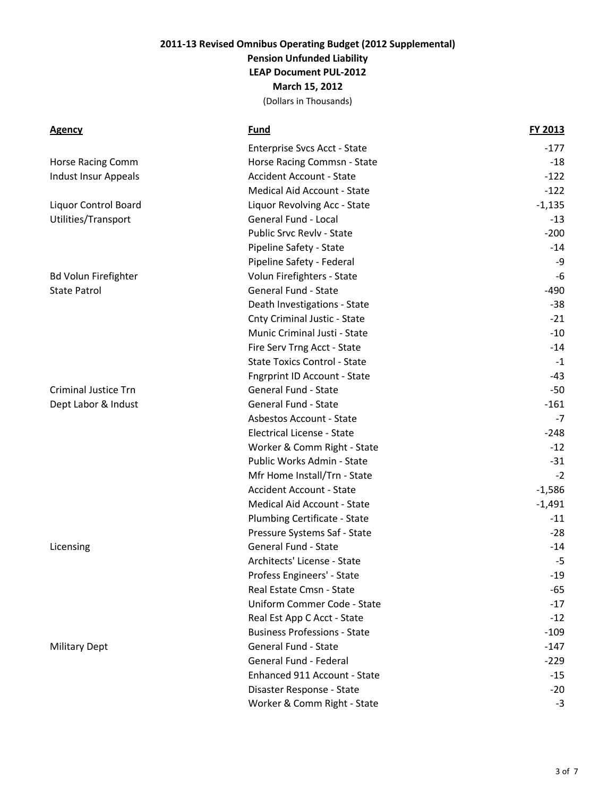| <u>Agency</u>               | Fund                                | FY 2013  |
|-----------------------------|-------------------------------------|----------|
|                             | Enterprise Svcs Acct - State        | $-177$   |
| <b>Horse Racing Comm</b>    | Horse Racing Commsn - State         | -18      |
| <b>Indust Insur Appeals</b> | <b>Accident Account - State</b>     | $-122$   |
|                             | Medical Aid Account - State         | $-122$   |
| Liquor Control Board        | Liquor Revolving Acc - State        | $-1,135$ |
| Utilities/Transport         | General Fund - Local                | $-13$    |
|                             | Public Srvc Revlv - State           | $-200$   |
|                             | Pipeline Safety - State             | $-14$    |
|                             | Pipeline Safety - Federal           | -9       |
| <b>Bd Volun Firefighter</b> | Volun Firefighters - State          | $-6$     |
| State Patrol                | General Fund - State                | -490     |
|                             | Death Investigations - State        | $-38$    |
|                             | Cnty Criminal Justic - State        | $-21$    |
|                             | Munic Criminal Justi - State        | $-10$    |
|                             | Fire Serv Trng Acct - State         | $-14$    |
|                             | <b>State Toxics Control - State</b> | $-1$     |
|                             | <b>Fngrprint ID Account - State</b> | $-43$    |
| <b>Criminal Justice Trn</b> | General Fund - State                | $-50$    |
| Dept Labor & Indust         | General Fund - State                | $-161$   |
|                             | Asbestos Account - State            | $-7$     |
|                             | Electrical License - State          | $-248$   |
|                             | Worker & Comm Right - State         | $-12$    |
|                             | Public Works Admin - State          | $-31$    |
|                             | Mfr Home Install/Trn - State        | $-2$     |
|                             | <b>Accident Account - State</b>     | $-1,586$ |
|                             | Medical Aid Account - State         | $-1,491$ |
|                             | Plumbing Certificate - State        | $-11$    |
|                             | Pressure Systems Saf - State        | $-28$    |
| Licensing                   | General Fund - State                | $-14$    |
|                             | Architects' License - State         | $-5$     |
|                             | Profess Engineers' - State          | $-19$    |
|                             | Real Estate Cmsn - State            | -65      |
|                             | Uniform Commer Code - State         | $-17$    |
|                             | Real Est App C Acct - State         | $-12$    |
|                             | <b>Business Professions - State</b> | $-109$   |
| <b>Military Dept</b>        | <b>General Fund - State</b>         | $-147$   |
|                             | General Fund - Federal              | $-229$   |
|                             | Enhanced 911 Account - State        | $-15$    |
|                             | Disaster Response - State           | $-20$    |
|                             | Worker & Comm Right - State         | $-3$     |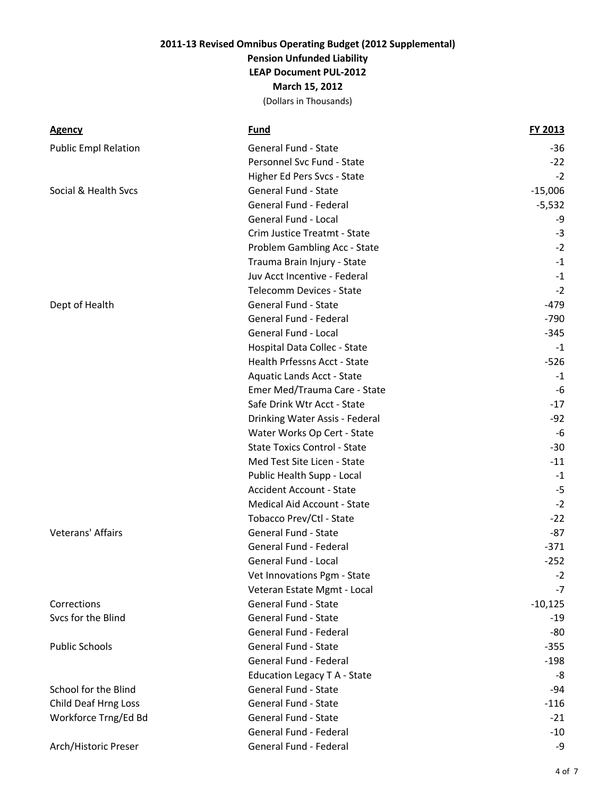| <b>Agency</b>               | Fund                                | FY 2013   |
|-----------------------------|-------------------------------------|-----------|
| <b>Public Empl Relation</b> | General Fund - State                | $-36$     |
|                             | Personnel Svc Fund - State          | $-22$     |
|                             | Higher Ed Pers Svcs - State         | $-2$      |
| Social & Health Svcs        | <b>General Fund - State</b>         | $-15,006$ |
|                             | General Fund - Federal              | $-5,532$  |
|                             | General Fund - Local                | -9        |
|                             | Crim Justice Treatmt - State        | $-3$      |
|                             | Problem Gambling Acc - State        | $-2$      |
|                             | Trauma Brain Injury - State         | $-1$      |
|                             | Juv Acct Incentive - Federal        | $-1$      |
|                             | <b>Telecomm Devices - State</b>     | $-2$      |
| Dept of Health              | General Fund - State                | $-479$    |
|                             | General Fund - Federal              | $-790$    |
|                             | General Fund - Local                | $-345$    |
|                             | Hospital Data Collec - State        | $-1$      |
|                             | Health Prfessns Acct - State        | $-526$    |
|                             | Aquatic Lands Acct - State          | $-1$      |
|                             | Emer Med/Trauma Care - State        | $-6$      |
|                             | Safe Drink Wtr Acct - State         | $-17$     |
|                             | Drinking Water Assis - Federal      | $-92$     |
|                             | Water Works Op Cert - State         | $-6$      |
|                             | <b>State Toxics Control - State</b> | $-30$     |
|                             | Med Test Site Licen - State         | $-11$     |
|                             | Public Health Supp - Local          | $-1$      |
|                             | <b>Accident Account - State</b>     | $-5$      |
|                             | Medical Aid Account - State         | $-2$      |
|                             | Tobacco Prev/Ctl - State            | $-22$     |
| Veterans' Affairs           | <b>General Fund - State</b>         | $-87$     |
|                             | General Fund - Federal              | $-371$    |
|                             | General Fund - Local                | $-252$    |
|                             | Vet Innovations Pgm - State         | $-2$      |
|                             | Veteran Estate Mgmt - Local         | $-7$      |
| Corrections                 | General Fund - State                | $-10,125$ |
| Svcs for the Blind          | General Fund - State                | $-19$     |
|                             | General Fund - Federal              | -80       |
| <b>Public Schools</b>       | General Fund - State                | $-355$    |
|                             | General Fund - Federal              | $-198$    |
|                             | Education Legacy T A - State        | -8        |
| School for the Blind        | General Fund - State                | -94       |
| Child Deaf Hrng Loss        | General Fund - State                | $-116$    |
| Workforce Trng/Ed Bd        | General Fund - State                | $-21$     |
|                             | General Fund - Federal              | $-10$     |
| Arch/Historic Preser        | General Fund - Federal              | $-9$      |
|                             |                                     |           |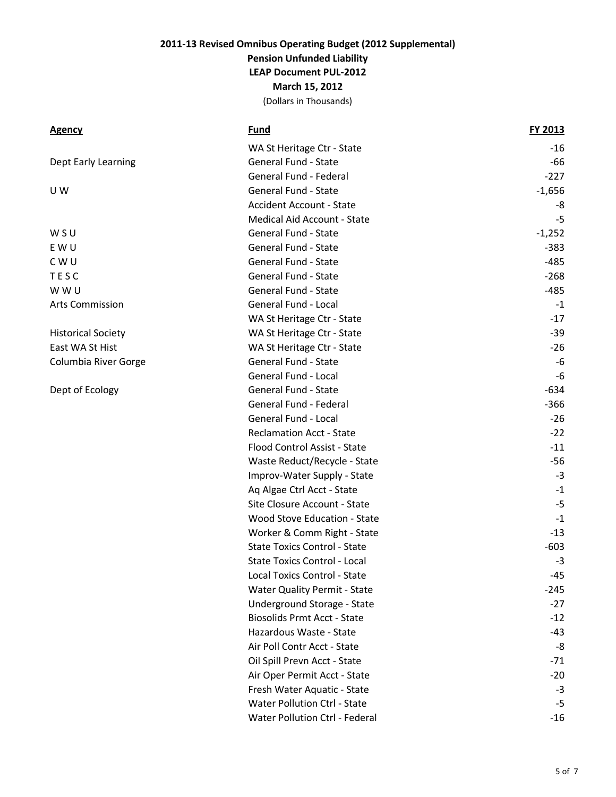| <u>Agency</u>             | Fund                                | FY 2013  |
|---------------------------|-------------------------------------|----------|
|                           | WA St Heritage Ctr - State          | $-16$    |
| Dept Early Learning       | General Fund - State                | $-66$    |
|                           | General Fund - Federal              | $-227$   |
| U W                       | General Fund - State                | $-1,656$ |
|                           | <b>Accident Account - State</b>     | -8       |
|                           | Medical Aid Account - State         | $-5$     |
| W S U                     | General Fund - State                | $-1,252$ |
| E W U                     | General Fund - State                | $-383$   |
| C W U                     | General Fund - State                | $-485$   |
| TESC                      | General Fund - State                | $-268$   |
| W W U                     | General Fund - State                | $-485$   |
| Arts Commission           | General Fund - Local                | $-1$     |
|                           | WA St Heritage Ctr - State          | $-17$    |
| <b>Historical Society</b> | WA St Heritage Ctr - State          | $-39$    |
| East WA St Hist           | WA St Heritage Ctr - State          | $-26$    |
| Columbia River Gorge      | General Fund - State                | -6       |
|                           | General Fund - Local                | $-6$     |
| Dept of Ecology           | General Fund - State                | $-634$   |
|                           | General Fund - Federal              | $-366$   |
|                           | General Fund - Local                | $-26$    |
|                           | <b>Reclamation Acct - State</b>     | $-22$    |
|                           | Flood Control Assist - State        | $-11$    |
|                           | Waste Reduct/Recycle - State        | $-56$    |
|                           | Improv-Water Supply - State         | $-3$     |
|                           | Aq Algae Ctrl Acct - State          | $-1$     |
|                           | Site Closure Account - State        | $-5$     |
|                           | Wood Stove Education - State        | $-1$     |
|                           | Worker & Comm Right - State         | $-13$    |
|                           | <b>State Toxics Control - State</b> | $-603$   |
|                           | <b>State Toxics Control - Local</b> | $-3$     |
|                           | Local Toxics Control - State        | $-45$    |
|                           | Water Quality Permit - State        | $-245$   |
|                           | Underground Storage - State         | $-27$    |
|                           | <b>Biosolids Prmt Acct - State</b>  | $-12$    |
|                           | Hazardous Waste - State             | -43      |
|                           | Air Poll Contr Acct - State         | -8       |
|                           | Oil Spill Prevn Acct - State        | $-71$    |
|                           | Air Oper Permit Acct - State        | $-20$    |
|                           | Fresh Water Aquatic - State         | $-3$     |
|                           | Water Pollution Ctrl - State        | $-5$     |
|                           | Water Pollution Ctrl - Federal      | $-16$    |
|                           |                                     |          |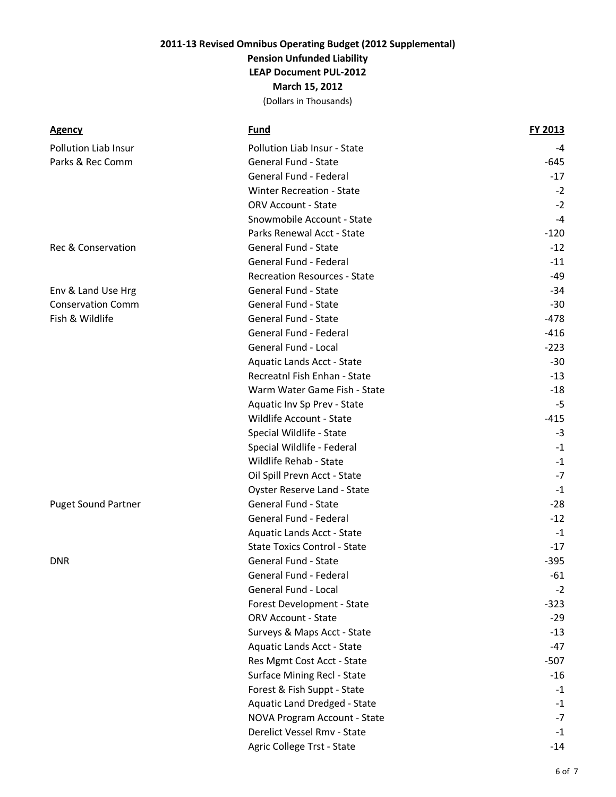| <u>Agency</u>              | <b>Fund</b>                         | FY 2013 |
|----------------------------|-------------------------------------|---------|
| Pollution Liab Insur       | Pollution Liab Insur - State        | $-4$    |
| Parks & Rec Comm           | General Fund - State                | $-645$  |
|                            | General Fund - Federal              | $-17$   |
|                            | <b>Winter Recreation - State</b>    | $-2$    |
|                            | <b>ORV Account - State</b>          | $-2$    |
|                            | Snowmobile Account - State          | $-4$    |
|                            | Parks Renewal Acct - State          | $-120$  |
| Rec & Conservation         | General Fund - State                | $-12$   |
|                            | General Fund - Federal              | $-11$   |
|                            | <b>Recreation Resources - State</b> | -49     |
| Env & Land Use Hrg         | General Fund - State                | $-34$   |
| <b>Conservation Comm</b>   | General Fund - State                | $-30$   |
| Fish & Wildlife            | General Fund - State                | $-478$  |
|                            | General Fund - Federal              | $-416$  |
|                            | General Fund - Local                | $-223$  |
|                            | Aquatic Lands Acct - State          | $-30$   |
|                            | Recreatnl Fish Enhan - State        | $-13$   |
|                            | Warm Water Game Fish - State        | $-18$   |
|                            | Aquatic Inv Sp Prev - State         | $-5$    |
|                            | Wildlife Account - State            | -415    |
|                            | Special Wildlife - State            | $-3$    |
|                            | Special Wildlife - Federal          | $-1$    |
|                            | Wildlife Rehab - State              | $-1$    |
|                            | Oil Spill Prevn Acct - State        | $-7$    |
|                            | Oyster Reserve Land - State         | $-1$    |
| <b>Puget Sound Partner</b> | General Fund - State                | $-28$   |
|                            | General Fund - Federal              | $-12$   |
|                            | Aquatic Lands Acct - State          | $-1$    |
|                            | <b>State Toxics Control - State</b> | $-17$   |
| DNR                        | General Fund - State                | $-395$  |
|                            | General Fund - Federal              | $-61$   |
|                            | General Fund - Local                | $-2$    |
|                            | Forest Development - State          | $-323$  |
|                            | <b>ORV Account - State</b>          | $-29$   |
|                            | Surveys & Maps Acct - State         | $-13$   |
|                            | Aquatic Lands Acct - State          | $-47$   |
|                            | Res Mgmt Cost Acct - State          | $-507$  |
|                            | Surface Mining Recl - State         | $-16$   |
|                            | Forest & Fish Suppt - State         | $-1$    |
|                            | Aquatic Land Dredged - State        | $-1$    |
|                            | NOVA Program Account - State        | $-7$    |
|                            | Derelict Vessel Rmv - State         | $-1$    |
|                            | Agric College Trst - State          | $-14$   |